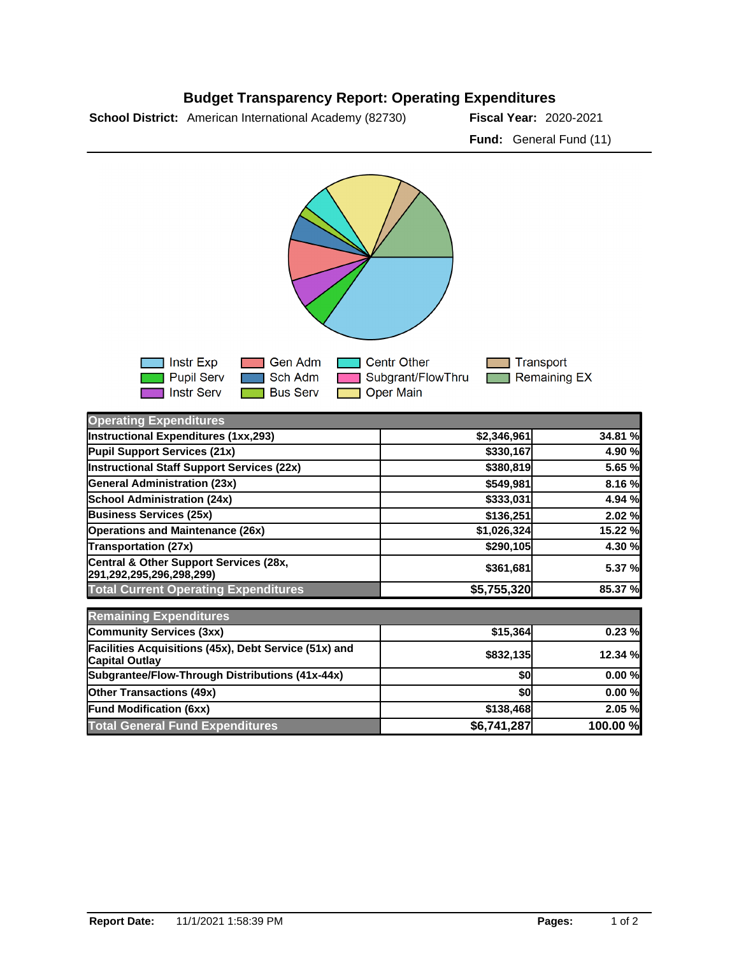## **Budget Transparency Report: Operating Expenditures**

**School District:** American International Academy (82730) **Fiscal Year:** 2020-2021

**Fund:** General Fund (11)



| <b>Operating Expenditures</b>                                                  |             |          |
|--------------------------------------------------------------------------------|-------------|----------|
| Instructional Expenditures (1xx,293)                                           | \$2,346,961 | 34.81 %  |
| Pupil Support Services (21x)                                                   | \$330,167   | 4.90 %   |
| Instructional Staff Support Services (22x)                                     | \$380,819   | 5.65 %   |
| <b>General Administration (23x)</b>                                            | \$549,981   | 8.16 %   |
| <b>School Administration (24x)</b>                                             | \$333,031   | 4.94 %   |
| <b>Business Services (25x)</b>                                                 | \$136,251   | 2.02%    |
| <b>Operations and Maintenance (26x)</b>                                        | \$1,026,324 | 15.22 %  |
| <b>Transportation (27x)</b>                                                    | \$290,105   | 4.30 %   |
| Central & Other Support Services (28x,<br>291,292,295,296,298,299)             | \$361,681   | 5.37 %   |
| <b>Total Current Operating Expenditures</b>                                    | \$5,755,320 | 85.37 %  |
| <b>Remaining Expenditures</b>                                                  |             |          |
| <b>Community Services (3xx)</b>                                                | \$15,364    | 0.23%    |
| Facilities Acquisitions (45x), Debt Service (51x) and<br><b>Capital Outlay</b> | \$832,135   | 12.34 %  |
| Subgrantee/Flow-Through Distributions (41x-44x)                                | \$0         | 0.00%    |
| <b>Other Transactions (49x)</b>                                                | \$0         | 0.00%    |
| <b>Fund Modification (6xx)</b>                                                 | \$138,468   | 2.05%    |
| <b>Total General Fund Expenditures</b>                                         | \$6,741,287 | 100.00 % |